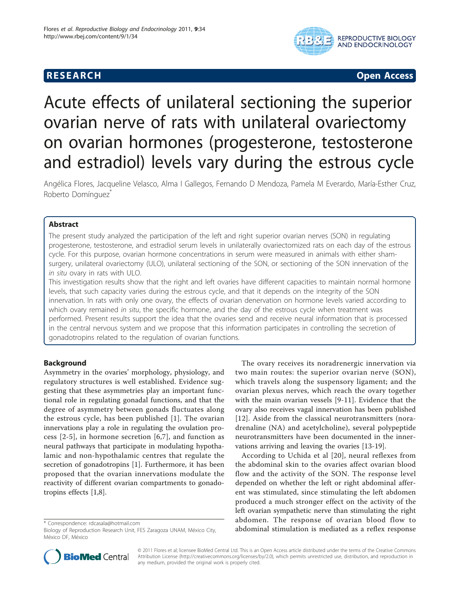# **RESEARCH CHRISTIAN CONSUMING CONTRACT CONSUMING CONSUMING CONSUMING CONSUMING CONSUMING CONSUMING CONSUMING CO**



# Acute effects of unilateral sectioning the superior ovarian nerve of rats with unilateral ovariectomy on ovarian hormones (progesterone, testosterone and estradiol) levels vary during the estrous cycle

Angélica Flores, Jacqueline Velasco, Alma I Gallegos, Fernando D Mendoza, Pamela M Everardo, María-Esther Cruz, Roberto Domínguez

# Abstract

The present study analyzed the participation of the left and right superior ovarian nerves (SON) in regulating progesterone, testosterone, and estradiol serum levels in unilaterally ovariectomized rats on each day of the estrous cycle. For this purpose, ovarian hormone concentrations in serum were measured in animals with either shamsurgery, unilateral ovariectomy (ULO), unilateral sectioning of the SON, or sectioning of the SON innervation of the in situ ovary in rats with ULO.

This investigation results show that the right and left ovaries have different capacities to maintain normal hormone levels, that such capacity varies during the estrous cycle, and that it depends on the integrity of the SON innervation. In rats with only one ovary, the effects of ovarian denervation on hormone levels varied according to which ovary remained in situ, the specific hormone, and the day of the estrous cycle when treatment was performed. Present results support the idea that the ovaries send and receive neural information that is processed in the central nervous system and we propose that this information participates in controlling the secretion of gonadotropins related to the regulation of ovarian functions.

# Background

Asymmetry in the ovaries' morphology, physiology, and regulatory structures is well established. Evidence suggesting that these asymmetries play an important functional role in regulating gonadal functions, and that the degree of asymmetry between gonads fluctuates along the estrous cycle, has been published [[1\]](#page-9-0). The ovarian innervations play a role in regulating the ovulation process [[2-5](#page-9-0)], in hormone secretion [[6,7](#page-9-0)], and function as neural pathways that participate in modulating hypothalamic and non-hypothalamic centres that regulate the secretion of gonadotropins [[1\]](#page-9-0). Furthermore, it has been proposed that the ovarian innervations modulate the reactivity of different ovarian compartments to gonadotropins effects [[1,8\]](#page-9-0).

The ovary receives its noradrenergic innervation via two main routes: the superior ovarian nerve (SON), which travels along the suspensory ligament; and the ovarian plexus nerves, which reach the ovary together with the main ovarian vessels [[9-11\]](#page-9-0). Evidence that the ovary also receives vagal innervation has been published [[12](#page-9-0)]. Aside from the classical neurotransmitters (noradrenaline (NA) and acetylcholine), several polypeptide neurotransmitters have been documented in the innervations arriving and leaving the ovaries [[13-19\]](#page-9-0).

According to Uchida et al [[20](#page-9-0)], neural reflexes from the abdominal skin to the ovaries affect ovarian blood flow and the activity of the SON. The response level depended on whether the left or right abdominal afferent was stimulated, since stimulating the left abdomen produced a much stronger effect on the activity of the left ovarian sympathetic nerve than stimulating the right abdomen. The response of ovarian blood flow to abdominal and different assumed as a reflex response and according to the response and the response \* Correspondence: [rdcasala@hotmail.com](mailto:rdcasala@hotmail.com)<br>Biology of Reproduction Research Unit, FES Zaragoza UNAM, México City, abdominal st



© 2011 Flores et al; licensee BioMed Central Ltd. This is an Open Access article distributed under the terms of the Creative Commons Attribution License [\(http://creativecommons.org/licenses/by/2.0](http://creativecommons.org/licenses/by/2.0)), which permits unrestricted use, distribution, and reproduction in any medium, provided the original work is properly cited.

Biology of Reproduction Research Unit, FES Zaragoza UNAM, México City, México DF, México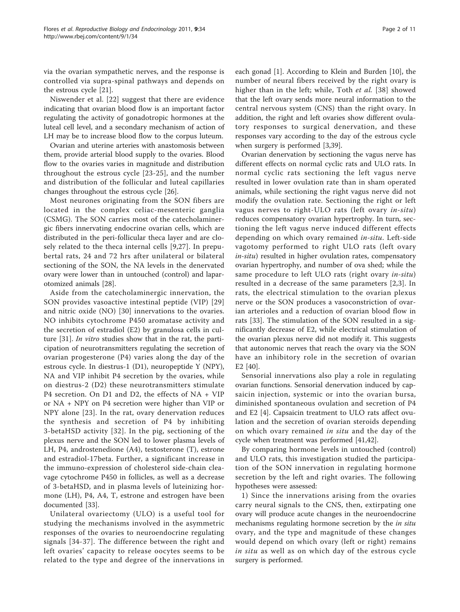via the ovarian sympathetic nerves, and the response is controlled via supra-spinal pathways and depends on the estrous cycle [[21](#page-9-0)].

Niswender et al. [[22](#page-9-0)] suggest that there are evidence indicating that ovarian blood flow is an important factor regulating the activity of gonadotropic hormones at the luteal cell level, and a secondary mechanism of action of LH may be to increase blood flow to the corpus luteum.

Ovarian and uterine arteries with anastomosis between them, provide arterial blood supply to the ovaries. Blood flow to the ovaries varies in magnitude and distribution throughout the estrous cycle [[23](#page-9-0)-[25](#page-9-0)], and the number and distribution of the follicular and luteal capillaries changes throughout the estrous cycle [\[26\]](#page-9-0).

Most neurones originating from the SON fibers are located in the complex celiac-mesenteric ganglia (CSMG). The SON carries most of the catecholaminergic fibers innervating endocrine ovarian cells, which are distributed in the peri-follicular theca layer and are closely related to the theca internal cells [[9,27](#page-9-0)]. In prepubertal rats, 24 and 72 hrs after unilateral or bilateral sectioning of the SON, the NA levels in the denervated ovary were lower than in untouched (control) and laparotomized animals [\[28](#page-9-0)].

Aside from the catecholaminergic innervation, the SON provides vasoactive intestinal peptide (VIP) [[29](#page-9-0)] and nitric oxide (NO) [[30](#page-9-0)] innervations to the ovaries. NO inhibits cytochrome P450 aromatase activity and the secretion of estradiol (E2) by granulosa cells in cul-ture [[31\]](#page-9-0). In vitro studies show that in the rat, the participation of neurotransmitters regulating the secretion of ovarian progesterone (P4) varies along the day of the estrous cycle. In diestrus-1 (D1), neuropeptide Y (NPY), NA and VIP inhibit P4 secretion by the ovaries, while on diestrus-2 (D2) these neurotransmitters stimulate P4 secretion. On D1 and D2, the effects of NA + VIP or NA + NPY on P4 secretion were higher than VIP or NPY alone [[23](#page-9-0)]. In the rat, ovary denervation reduces the synthesis and secretion of P4 by inhibiting 3-betaHSD activity [[32](#page-9-0)]. In the pig, sectioning of the plexus nerve and the SON led to lower plasma levels of LH, P4, androstenedione (A4), testosterone (T), estrone and estradiol-17beta. Further, a significant increase in the immuno-expression of cholesterol side-chain cleavage cytochrome P450 in follicles, as well as a decrease of 3-betaHSD, and in plasma levels of luteinizing hormone (LH), P4, A4, T, estrone and estrogen have been documented [[33](#page-9-0)].

Unilateral ovariectomy (ULO) is a useful tool for studying the mechanisms involved in the asymmetric responses of the ovaries to neuroendocrine regulating signals [[34](#page-9-0)-[37](#page-9-0)]. The difference between the right and left ovaries' capacity to release oocytes seems to be related to the type and degree of the innervations in each gonad [[1\]](#page-9-0). According to Klein and Burden [\[10](#page-9-0)], the number of neural fibers received by the right ovary is higher than in the left; while, Toth et al. [[38\]](#page-9-0) showed that the left ovary sends more neural information to the central nervous system (CNS) than the right ovary. In addition, the right and left ovaries show different ovulatory responses to surgical denervation, and these responses vary according to the day of the estrous cycle when surgery is performed [\[3](#page-9-0)[,39](#page-10-0)].

Ovarian denervation by sectioning the vagus nerve has different effects on normal cyclic rats and ULO rats. In normal cyclic rats sectioning the left vagus nerve resulted in lower ovulation rate than in sham operated animals, while sectioning the right vagus nerve did not modify the ovulation rate. Sectioning the right or left vagus nerves to right-ULO rats (left ovary in-situ) reduces compensatory ovarian hypertrophy. In turn, sectioning the left vagus nerve induced different effects depending on which ovary remained in-situ. Left-side vagotomy performed to right ULO rats (left ovary in-situ) resulted in higher ovulation rates, compensatory ovarian hypertrophy, and number of ova shed; while the same procedure to left ULO rats (right ovary *in-situ*) resulted in a decrease of the same parameters [[2](#page-9-0),[3\]](#page-9-0). In rats, the electrical stimulation to the ovarian plexus nerve or the SON produces a vasoconstriction of ovarian arterioles and a reduction of ovarian blood flow in rats [[33\]](#page-9-0). The stimulation of the SON resulted in a significantly decrease of E2, while electrical stimulation of the ovarian plexus nerve did not modify it. This suggests that autonomic nerves that reach the ovary via the SON have an inhibitory role in the secretion of ovarian E2 [[40](#page-10-0)].

Sensorial innervations also play a role in regulating ovarian functions. Sensorial denervation induced by capsaicin injection, systemic or into the ovarian bursa, diminished spontaneous ovulation and secretion of P4 and E2 [\[4](#page-9-0)]. Capsaicin treatment to ULO rats affect ovulation and the secretion of ovarian steroids depending on which ovary remained in situ and the day of the cycle when treatment was performed [\[41,42\]](#page-10-0).

By comparing hormone levels in untouched (control) and ULO rats, this investigation studied the participation of the SON innervation in regulating hormone secretion by the left and right ovaries. The following hypotheses were assessed:

1) Since the innervations arising from the ovaries carry neural signals to the CNS, then, extirpating one ovary will produce acute changes in the neuroendocrine mechanisms regulating hormone secretion by the *in situ* ovary, and the type and magnitude of these changes would depend on which ovary (left or right) remains in situ as well as on which day of the estrous cycle surgery is performed.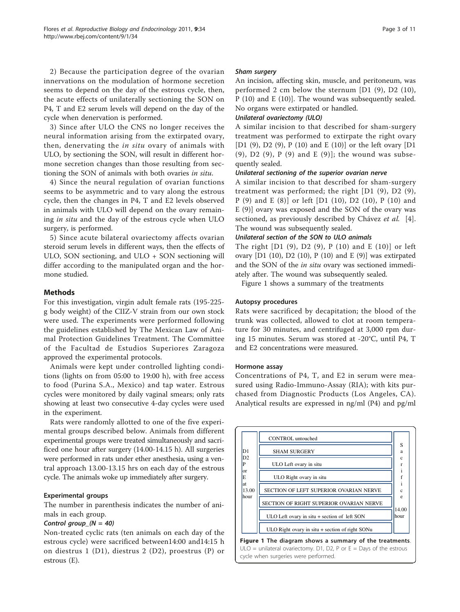2) Because the participation degree of the ovarian innervations on the modulation of hormone secretion seems to depend on the day of the estrous cycle, then, the acute effects of unilaterally sectioning the SON on P4, T and E2 serum levels will depend on the day of the cycle when denervation is performed.

3) Since after ULO the CNS no longer receives the neural information arising from the extirpated ovary, then, denervating the *in situ* ovary of animals with ULO, by sectioning the SON, will result in different hormone secretion changes than those resulting from sectioning the SON of animals with both ovaries in situ.

4) Since the neural regulation of ovarian functions seems to be asymmetric and to vary along the estrous cycle, then the changes in P4, T and E2 levels observed in animals with ULO will depend on the ovary remaining in situ and the day of the estrous cycle when ULO surgery, is performed.

5) Since acute bilateral ovariectomy affects ovarian steroid serum levels in different ways, then the effects of ULO, SON sectioning, and ULO + SON sectioning will differ according to the manipulated organ and the hormone studied.

## **Methods**

For this investigation, virgin adult female rats (195-225 g body weight) of the CIIZ-V strain from our own stock were used. The experiments were performed following the guidelines established by The Mexican Law of Animal Protection Guidelines Treatment. The Committee of the Facultad de Estudios Superiores Zaragoza approved the experimental protocols.

Animals were kept under controlled lighting conditions (lights on from 05:00 to 19:00 h), with free access to food (Purina S.A., Mexico) and tap water. Estrous cycles were monitored by daily vaginal smears; only rats showing at least two consecutive 4-day cycles were used in the experiment.

Rats were randomly allotted to one of the five experimental groups described below. Animals from different experimental groups were treated simultaneously and sacrificed one hour after surgery (14.00-14.15 h). All surgeries were performed in rats under ether anesthesia, using a ventral approach 13.00-13.15 hrs on each day of the estrous cycle. The animals woke up immediately after surgery.

### Experimental groups

The number in parenthesis indicates the number of animals in each group.

Non-treated cyclic rats (ten animals on each day of the estrous cycle) were sacrificed between14:00 and14:15 h on diestrus 1 (D1), diestrus 2 (D2), proestrus (P) or estrous (E).

An incision, affecting skin, muscle, and peritoneum, was performed 2 cm below the sternum [D1 (9), D2 (10), P (10) and E (10)]. The wound was subsequently sealed. No organs were extirpated or handled.

A similar incision to that described for sham-surgery treatment was performed to extirpate the right ovary [D1 (9), D2 (9), P (10) and E (10)] or the left ovary [D1 (9),  $D2$  (9),  $P$  (9) and  $E$  (9)]; the wound was subsequently sealed.

A similar incision to that described for sham-surgery treatment was performed; the right [D1 (9), D2 (9), P (9) and E (8)] or left [D1 (10), D2 (10), P (10) and E (9)] ovary was exposed and the SON of the ovary was sectioned, as previously described by Chávez et al. [\[4](#page-9-0)]. The wound was subsequently sealed.

The right  $[D1 (9), D2 (9), P (10)$  and E  $(10)]$  or left ovary [D1 (10), D2 (10), P (10) and E (9)] was extirpated and the SON of the *in situ* ovary was sectioned immediately after. The wound was subsequently sealed.

Figure 1 shows a summary of the treatments

### Autopsy procedures

Rats were sacrificed by decapitation; the blood of the trunk was collected, allowed to clot at room temperature for 30 minutes, and centrifuged at 3,000 rpm during 15 minutes. Serum was stored at -20°C, until P4, T and E2 concentrations were measured.

### Hormone assay

Concentrations of P4, T, and E2 in serum were measured using Radio-Immuno-Assay (RIA); with kits purchased from Diagnostic Products (Los Angeles, CA). Analytical results are expressed in ng/ml (P4) and pg/ml

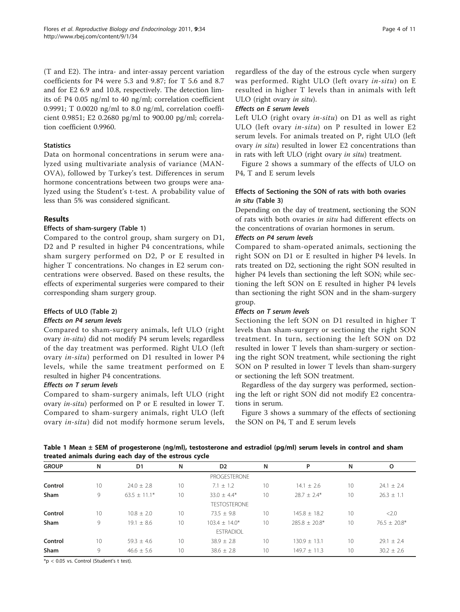(T and E2). The intra- and inter-assay percent variation coefficients for P4 were 5.3 and 9.87; for T 5.6 and 8.7 and for E2 6.9 and 10.8, respectively. The detection limits of: P4 0.05 ng/ml to 40 ng/ml; correlation coefficient 0.9991; T 0.0020 ng/ml to 8.0 ng/ml, correlation coefficient 0.9851; E2 0.2680 pg/ml to 900.00 pg/ml; correlation coefficient 0.9960.

### **Statistics**

Data on hormonal concentrations in serum were analyzed using multivariate analysis of variance (MAN-OVA), followed by Turkey's test. Differences in serum hormone concentrations between two groups were analyzed using the Student's t-test. A probability value of less than 5% was considered significant.

## Results

### Effects of sham-surgery (Table 1)

Compared to the control group, sham surgery on D1, D2 and P resulted in higher P4 concentrations, while sham surgery performed on D2, P or E resulted in higher T concentrations. No changes in E2 serum concentrations were observed. Based on these results, the effects of experimental surgeries were compared to their corresponding sham surgery group.

### Effects of ULO (Table [2](#page-4-0))

Compared to sham-surgery animals, left ULO (right ovary in-situ) did not modify P4 serum levels; regardless of the day treatment was performed. Right ULO (left ovary in-situ) performed on D1 resulted in lower P4 levels, while the same treatment performed on E resulted in higher P4 concentrations.

Effects on T serum levels Compared to sham-surgery animals, left ULO (right ovary in-situ) performed on P or E resulted in lower T. Compared to sham-surgery animals, right ULO (left ovary in-situ) did not modify hormone serum levels,

regardless of the day of the estrous cycle when surgery was performed. Right ULO (left ovary in-situ) on E resulted in higher T levels than in animals with left ULO (right ovary in situ).

Left ULO (right ovary in-situ) on D1 as well as right ULO (left ovary in-situ) on P resulted in lower E2 serum levels. For animals treated on P, right ULO (left ovary *in situ*) resulted in lower E2 concentrations than in rats with left ULO (right ovary in situ) treatment.

Figure [2](#page-4-0) shows a summary of the effects of ULO on P4, T and E serum levels

## Effects of Sectioning the SON of rats with both ovaries in situ (Table [3\)](#page-5-0)

Depending on the day of treatment, sectioning the SON of rats with both ovaries in situ had different effects on the concentrations of ovarian hormones in serum.

### Effects on P4 serum levels

Compared to sham-operated animals, sectioning the right SON on D1 or E resulted in higher P4 levels. In rats treated on D2, sectioning the right SON resulted in higher P4 levels than sectioning the left SON; while sectioning the left SON on E resulted in higher P4 levels than sectioning the right SON and in the sham-surgery group.

Sectioning the left SON on D1 resulted in higher T levels than sham-surgery or sectioning the right SON treatment. In turn, sectioning the left SON on D2 resulted in lower T levels than sham-surgery or sectioning the right SON treatment, while sectioning the right SON on P resulted in lower T levels than sham-surgery or sectioning the left SON treatment.

Regardless of the day surgery was performed, sectioning the left or right SON did not modify E2 concentrations in serum.

Figure [3](#page-5-0) shows a summary of the effects of sectioning the SON on P4, T and E serum levels

Table 1 Mean ± SEM of progesterone (ng/ml), testosterone and estradiol (pg/ml) serum levels in control and sham treated animals during each day of the estrous cycle

| <b>GROUP</b> | N  | D <sub>1</sub> | N  | D <sub>2</sub>      | N  | P               | N  | O              |
|--------------|----|----------------|----|---------------------|----|-----------------|----|----------------|
|              |    |                |    | <b>PROGESTERONE</b> |    |                 |    |                |
| Control      | 10 | $74.0 + 7.8$   | 10 | $7.1 + 1.2$         | 10 | $14.1 + 2.6$    | 10 | $24.1 + 2.4$   |
| Sham         | 9  | $63.5 + 11.1*$ | 10 | $33.0 + 4.4*$       | 10 | $28.7 + 2.4*$   | 10 | $26.3 + 1.1$   |
|              |    |                |    | <b>TESTOSTERONE</b> |    |                 |    |                |
| Control      | 10 | $10.8 + 2.0$   | 10 | $73.5 + 9.8$        | 10 | $145.8 + 18.2$  | 10 | <2.0           |
| Sham         | 9  | $19.1 + 8.6$   | 10 | $103.4 + 14.0*$     | 10 | $785.8 + 70.8*$ | 10 | $76.5 + 20.8*$ |
|              |    |                |    | <b>ESTRADIOL</b>    |    |                 |    |                |
| Control      | 10 | $59.3 + 4.6$   | 10 | $38.9 + 2.8$        | 10 | $130.9 + 13.1$  | 10 | $79.1 + 7.4$   |
| Sham         | 9  | $46.6 + 5.6$   | 10 | $38.6 \pm 2.8$      | 10 | $149.7 + 11.3$  | 10 | $30.2 \pm 2.6$ |

\*p < 0.05 vs. Control (Student's t test).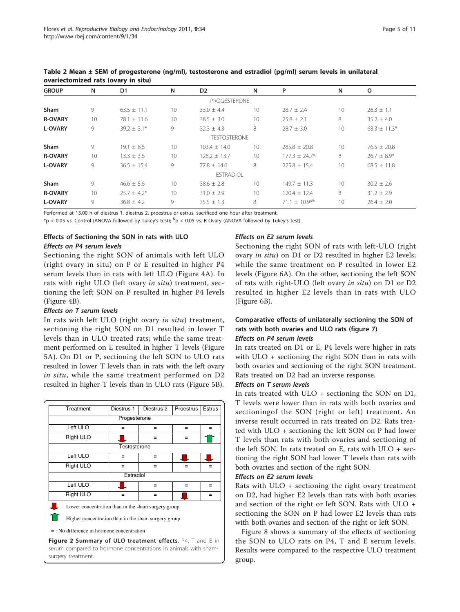|                |                 | $.444$ $.444$ $.444$ $.444$ $.444$ $.444$ $.444$ $.444$ $.444$ $.444$ $.444$ $.444$ $.444$ $.444$ $.444$ $.444$ $.444$ $.444$ $.444$ $.444$ $.444$ $.444$ $.444$ $.444$ $.444$ $.444$ $.444$ $.444$ $.444$ $.444$ $.444$ $.44$ |    |                     |    |                              |    |                  |
|----------------|-----------------|--------------------------------------------------------------------------------------------------------------------------------------------------------------------------------------------------------------------------------|----|---------------------|----|------------------------------|----|------------------|
| <b>GROUP</b>   | N               | D <sub>1</sub>                                                                                                                                                                                                                 | N  | D <sub>2</sub>      | N  | P                            | N  | o                |
|                |                 |                                                                                                                                                                                                                                |    | PROGESTERONE        |    |                              |    |                  |
| <b>Sham</b>    | 9               | $63.5 \pm 11.1$                                                                                                                                                                                                                | 10 | $33.0 \pm 4.4$      | 10 | $28.7 \pm 2.4$               | 10 | $26.3 \pm 1.1$   |
| <b>R-OVARY</b> | 10 <sup>°</sup> | $78.1 \pm 11.6$                                                                                                                                                                                                                | 10 | $38.5 \pm 3.0$      | 10 | $25.8 \pm 2.1$               | 8  | $35.2 \pm 4.0$   |
| <b>L-OVARY</b> | 9               | $39.2 \pm 3.1*$                                                                                                                                                                                                                | 9  | $32.3 \pm 4.3$      | 8  | $28.7 \pm 3.0$               | 10 | $68.3 \pm 11.3*$ |
|                |                 |                                                                                                                                                                                                                                |    | <b>TESTOSTERONE</b> |    |                              |    |                  |
| <b>Sham</b>    | 9               | $19.1 \pm 8.6$                                                                                                                                                                                                                 | 10 | $103.4 \pm 14.0$    | 10 | $285.8 \pm 20.8$             | 10 | $76.5 \pm 20.8$  |
| <b>R-OVARY</b> | 10 <sup>°</sup> | $13.3 \pm 3.6$                                                                                                                                                                                                                 | 10 | $128.2 \pm 13.7$    | 10 | $177.3 \pm 24.7$ *           | 8  | $26.7 \pm 8.9*$  |
| <b>L-OVARY</b> | 9               | $36.5 \pm 15.4$                                                                                                                                                                                                                | 9  | $77.8 \pm 14.6$     | 8  | $225.8 \pm 15.4$             | 10 | $68.5 \pm 11.8$  |
|                |                 |                                                                                                                                                                                                                                |    | <b>ESTRADIOL</b>    |    |                              |    |                  |
| <b>Sham</b>    | 9               | $46.6 \pm 5.6$                                                                                                                                                                                                                 | 10 | $38.6 \pm 2.8$      | 10 | $149.7 \pm 11.3$             | 10 | $30.2 \pm 2.6$   |
| <b>R-OVARY</b> | 10 <sup>°</sup> | $25.7 \pm 4.2^*$                                                                                                                                                                                                               | 10 | $31.0 \pm 2.9$      | 10 | $120.4 \pm 12.4$             | 8  | $31.2 \pm 2.9$   |
| <b>L-OVARY</b> | 9               | $36.8 \pm 4.2$                                                                                                                                                                                                                 | 9  | $35.5 \pm 1.3$      | 8  | 71.1 $\pm$ 10.9 <sup>*</sup> | 10 | $26.4 \pm 2.0$   |

<span id="page-4-0"></span>Table 2 Mean ± SEM of progesterone (ng/ml), testosterone and estradiol (pg/ml) serum levels in unilateral ovariectomized rats (ovary in situ)

Performed at 13.00 h of diestrus 1, diestrus 2, proestrus or estrus, sacrificed one hour after treatment.

 $*_\mathsf{p}$  < 0.05 vs. Control (ANOVA followed by Tukey's test);  $^{\&_\mathsf{p}}$  < 0.05 vs. R-Ovary (ANOVA followed by Tukey's test).

# Effects of Sectioning the SON in rats with ULO

Sectioning the right SON of animals with left ULO (right ovary in situ) on P or E resulted in higher P4 serum levels than in rats with left ULO (Figure [4A\)](#page-6-0). In rats with right ULO (left ovary in situ) treatment, sectioning the left SON on P resulted in higher P4 levels (Figure [4B](#page-6-0)).

In rats with left ULO (right ovary in situ) treatment, sectioning the right SON on D1 resulted in lower T levels than in ULO treated rats; while the same treatment performed on E resulted in higher T levels (Figure [5A\)](#page-6-0). On D1 or P, sectioning the left SON to ULO rats resulted in lower T levels than in rats with the left ovary in situ, while the same treatment performed on D2 resulted in higher T levels than in ULO rats (Figure [5B\)](#page-6-0).

| Treatment                                             | Diestrus 1 | Diestrus 2 | Proestrus | <b>Estrus</b> |  |  |  |  |
|-------------------------------------------------------|------------|------------|-----------|---------------|--|--|--|--|
| Progesterone                                          |            |            |           |               |  |  |  |  |
| Left ULO                                              | -          | =          | -         |               |  |  |  |  |
| Right ULO                                             |            | =          |           |               |  |  |  |  |
| Testosterone                                          |            |            |           |               |  |  |  |  |
| Left ULO                                              |            | =          |           |               |  |  |  |  |
| Right ULO                                             | -          | -          |           |               |  |  |  |  |
| Estradiol                                             |            |            |           |               |  |  |  |  |
| Left ULO                                              |            | =          |           |               |  |  |  |  |
| Right ULO                                             |            |            |           |               |  |  |  |  |
| : Lower concentration than in the sham surgery group. |            |            |           |               |  |  |  |  |
| : Higher concentration than in the sham surgery group |            |            |           |               |  |  |  |  |

= : No difference in hormone concentration

Figure 2 Summary of ULO treatment effects. P4, T and E in serum compared to hormone concentrations in animals with shamsurgery treatment.

# Effects on E2 serum levels

Sectioning the right SON of rats with left-ULO (right ovary in situ) on D1 or D2 resulted in higher E2 levels; while the same treatment on P resulted in lower E2 levels (Figure [6A\)](#page-7-0). On the other, sectioning the left SON of rats with right-ULO (left ovary in situ) on D1 or D2 resulted in higher E2 levels than in rats with ULO (Figure [6B](#page-7-0)).

# Comparative effects of unilaterally sectioning the SON of rats with both ovaries and ULO rats (figure [7](#page-8-0))

In rats treated on D1 or E, P4 levels were higher in rats with ULO + sectioning the right SON than in rats with both ovaries and sectioning of the right SON treatment. Rats treated on D2 had an inverse response.

In rats treated with  $ULO$  + sectioning the SON on D1, T levels were lower than in rats with both ovaries and sectioningof the SON (right or left) treatment. An inverse result occurred in rats treated on D2. Rats treated with ULO + sectioning the left SON on P had lower T levels than rats with both ovaries and sectioning of the left SON. In rats treated on E, rats with ULO + sectioning the right SON had lower T levels than rats with both ovaries and section of the right SON.

Rats with ULO + sectioning the right ovary treatment on D2, had higher E2 levels than rats with both ovaries and section of the right or left SON. Rats with ULO + sectioning the SON on P had lower E2 levels than rats with both ovaries and section of the right or left SON.

Figure [8](#page-8-0) shows a summary of the effects of sectioning the SON to ULO rats on P4, T and E serum levels. Results were compared to the respective ULO treatment group.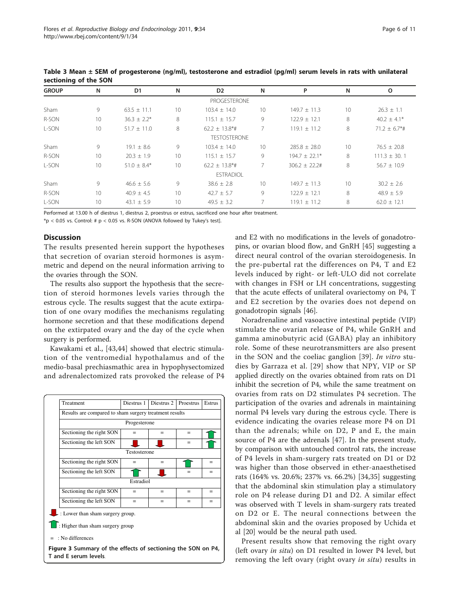| <b>GROUP</b> | N  | D <sub>1</sub>   | N  | D <sub>2</sub>      | N               | P                | N  | o                             |
|--------------|----|------------------|----|---------------------|-----------------|------------------|----|-------------------------------|
|              |    |                  |    | PROGESTERONE        |                 |                  |    |                               |
| Sham         | 9  | $63.5 \pm 11.1$  | 10 | $103.4 \pm 14.0$    | 10              | $149.7 \pm 11.3$ | 10 | $26.3 \pm 1.1$                |
| R-SON        | 10 | $36.3 \pm 2.2^*$ | 8  | $115.1 \pm 15.7$    | 9               | $122.9 + 12.1$   | 8  | $40.2 \pm 4.1*$               |
| L-SON        | 10 | $51.7 + 11.0$    | 8  | $62.2 \pm 13.8$ *#  | $\overline{7}$  | $119.1 + 11.2$   | 8  | $71.2 \pm 6.7$ <sup>*</sup> # |
|              |    |                  |    | <b>TESTOSTERONE</b> |                 |                  |    |                               |
| Sham         | 9  | $19.1 + 8.6$     | 9  | $103.4 + 14.0$      | 10 <sup>°</sup> | $285.8 \pm 28.0$ | 10 | $76.5 + 20.8$                 |
| R-SON        | 10 | $20.3 \pm 1.9$   | 10 | $115.1 \pm 15.7$    | 9               | $194.7 + 22.1*$  | 8  | $111.3 \pm 30.1$              |
| L-SON        | 10 | $51.0 + 8.4*$    | 10 | $62.2 + 13.8*$ #    |                 | $306.2 + 22.24$  | 8  | $56.7 + 10.9$                 |
|              |    |                  |    | <b>ESTRADIOL</b>    |                 |                  |    |                               |
| Sham         | 9  | $46.6 \pm 5.6$   | 9  | $38.6 \pm 2.8$      | 10 <sup>°</sup> | $149.7 \pm 11.3$ | 10 | $30.2 \pm 2.6$                |
| R-SON        | 10 | $40.9 \pm 4.5$   | 10 | $42.7 \pm 5.7$      | 9               | $122.9 \pm 12.1$ | 8  | $48.9 \pm 5.9$                |
| L-SON        | 10 | 43.1 $\pm$ 5.9   | 10 | $49.5 \pm 3.2$      |                 | $119.1 \pm 11.2$ | 8  | $62.0 \pm 12.1$               |

<span id="page-5-0"></span>Table 3 Mean ± SEM of progesterone (ng/ml), testosterone and estradiol (pg/ml) serum levels in rats with unilateral sectioning of the SON

Performed at 13.00 h of diestrus 1, diestrus 2, proestrus or estrus, sacrificed one hour after treatment.

 $*p < 0.05$  vs. Control: #  $p < 0.05$  vs. R-SON (ANOVA followed by Tukey's test].

### **Discussion**

The results presented herein support the hypotheses that secretion of ovarian steroid hormones is asymmetric and depend on the neural information arriving to the ovaries through the SON.

The results also support the hypothesis that the secretion of steroid hormones levels varies through the estrous cycle. The results suggest that the acute extirpation of one ovary modifies the mechanisms regulating hormone secretion and that these modifications depend on the extirpated ovary and the day of the cycle when surgery is performed.

Kawakami et al., [\[43,44](#page-10-0)] showed that electric stimulation of the ventromedial hypothalamus and of the medio-basal prechiasmathic area in hypophysectomized and adrenalectomized rats provoked the release of P4



and E2 with no modifications in the levels of gonadotropins, or ovarian blood flow, and GnRH [\[45](#page-10-0)] suggesting a direct neural control of the ovarian steroidogenesis. In the pre-pubertal rat the differences on P4, T and E2 levels induced by right- or left-ULO did not correlate with changes in FSH or LH concentrations, suggesting that the acute effects of unilateral ovariectomy on P4, T and E2 secretion by the ovaries does not depend on gonadotropin signals [\[46\]](#page-10-0).

Noradrenaline and vasoactive intestinal peptide (VIP) stimulate the ovarian release of P4, while GnRH and gamma aminobutyric acid (GABA) play an inhibitory role. Some of these neurotransmitters are also present in the SON and the coeliac ganglion [[39](#page-10-0)]. In vitro studies by Garraza et al. [[29\]](#page-9-0) show that NPY, VIP or SP applied directly on the ovaries obtained from rats on D1 inhibit the secretion of P4, while the same treatment on ovaries from rats on D2 stimulates P4 secretion. The participation of the ovaries and adrenals in maintaining normal P4 levels vary during the estrous cycle. There is evidence indicating the ovaries release more P4 on D1 than the adrenals; while on D2, P and E, the main source of P4 are the adrenals [\[47](#page-10-0)]. In the present study, by comparison with untouched control rats, the increase of P4 levels in sham-surgery rats treated on D1 or D2 was higher than those observed in ether-anaesthetised rats (164% vs. 20.6%; 237% vs. 66.2%) [\[34,35](#page-9-0)] suggesting that the abdominal skin stimulation play a stimulatory role on P4 release during D1 and D2. A similar effect was observed with T levels in sham-surgery rats treated on D2 or E. The neural connections between the abdominal skin and the ovaries proposed by Uchida et al [\[20\]](#page-9-0) would be the neural path used.

Present results show that removing the right ovary (left ovary *in situ*) on D1 resulted in lower P4 level, but removing the left ovary (right ovary in situ) results in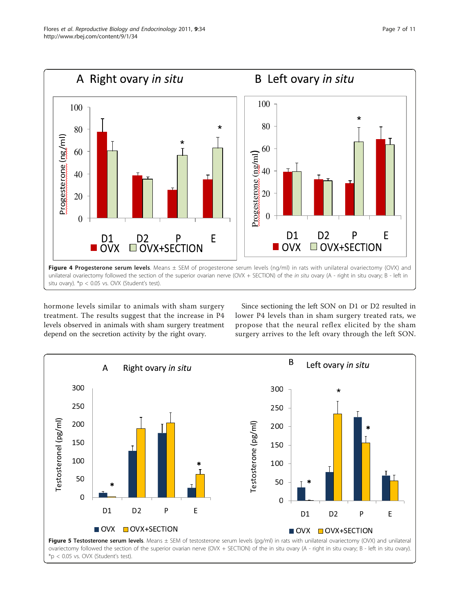<span id="page-6-0"></span>

hormone levels similar to animals with sham surgery treatment. The results suggest that the increase in P4 levels observed in animals with sham surgery treatment depend on the secretion activity by the right ovary.

Since sectioning the left SON on D1 or D2 resulted in lower P4 levels than in sham surgery treated rats, we propose that the neural reflex elicited by the sham surgery arrives to the left ovary through the left SON.



Page 7 of 11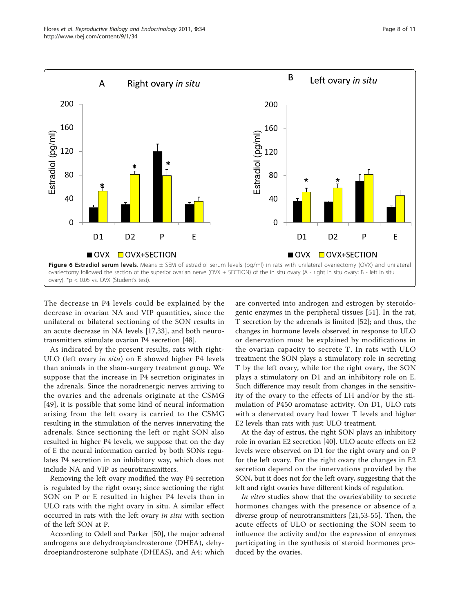<span id="page-7-0"></span>

The decrease in P4 levels could be explained by the decrease in ovarian NA and VIP quantities, since the unilateral or bilateral sectioning of the SON results in an acute decrease in NA levels [[17](#page-9-0),[33\]](#page-9-0), and both neurotransmitters stimulate ovarian P4 secretion [[48](#page-10-0)].

As indicated by the present results, rats with right-ULO (left ovary in situ) on E showed higher P4 levels than animals in the sham-surgery treatment group. We suppose that the increase in P4 secretion originates in the adrenals. Since the noradrenergic nerves arriving to the ovaries and the adrenals originate at the CSMG [[49\]](#page-10-0), it is possible that some kind of neural information arising from the left ovary is carried to the CSMG resulting in the stimulation of the nerves innervating the adrenals. Since sectioning the left or right SON also resulted in higher P4 levels, we suppose that on the day of E the neural information carried by both SONs regulates P4 secretion in an inhibitory way, which does not include NA and VIP as neurotransmitters.

Removing the left ovary modified the way P4 secretion is regulated by the right ovary; since sectioning the right SON on P or E resulted in higher P4 levels than in ULO rats with the right ovary in situ. A similar effect occurred in rats with the left ovary in situ with section of the left SON at P.

According to Odell and Parker [[50\]](#page-10-0), the major adrenal androgens are dehydroepiandrosterone (DHEA), dehydroepiandrosterone sulphate (DHEAS), and A4; which

are converted into androgen and estrogen by steroidogenic enzymes in the peripheral tissues [[51\]](#page-10-0). In the rat, T secretion by the adrenals is limited [[52\]](#page-10-0); and thus, the changes in hormone levels observed in response to ULO or denervation must be explained by modifications in the ovarian capacity to secrete T. In rats with ULO treatment the SON plays a stimulatory role in secreting T by the left ovary, while for the right ovary, the SON plays a stimulatory on D1 and an inhibitory role on E. Such difference may result from changes in the sensitivity of the ovary to the effects of LH and/or by the stimulation of P450 aromatase activity. On D1, ULO rats with a denervated ovary had lower T levels and higher E2 levels than rats with just ULO treatment.

At the day of estrus, the right SON plays an inhibitory role in ovarian E2 secretion [[40](#page-10-0)]. ULO acute effects on E2 levels were observed on D1 for the right ovary and on P for the left ovary. For the right ovary the changes in E2 secretion depend on the innervations provided by the SON, but it does not for the left ovary, suggesting that the left and right ovaries have different kinds of regulation.

In vitro studies show that the ovaries'ability to secrete hormones changes with the presence or absence of a diverse group of neurotransmitters [[21,](#page-9-0)[53-55\]](#page-10-0). Then, the acute effects of ULO or sectioning the SON seem to influence the activity and/or the expression of enzymes participating in the synthesis of steroid hormones produced by the ovaries.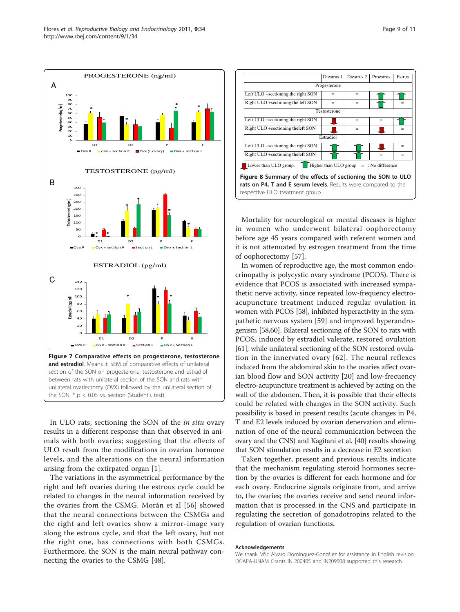<span id="page-8-0"></span>

In ULO rats, sectioning the SON of the *in situ* ovary results in a different response than that observed in animals with both ovaries; suggesting that the effects of ULO result from the modifications in ovarian hormone levels, and the alterations on the neural information arising from the extirpated organ [[1](#page-9-0)].

The variations in the asymmetrical performance by the right and left ovaries during the estrous cycle could be related to changes in the neural information received by the ovaries from the CSMG. Morán et al [[56\]](#page-10-0) showed that the neural connections between the CSMGs and the right and left ovaries show a mirror-image vary along the estrous cycle, and that the left ovary, but not the right one, has connections with both CSMGs. Furthermore, the SON is the main neural pathway connecting the ovaries to the CSMG [\[48](#page-10-0)].

![](_page_8_Figure_4.jpeg)

Mortality for neurological or mental diseases is higher in women who underwent bilateral oophorectomy before age 45 years compared with referent women and it is not attenuated by estrogen treatment from the time of oophorectomy [\[57\]](#page-10-0).

In women of reproductive age, the most common endocrinopathy is polycystic ovary syndrome (PCOS). There is evidence that PCOS is associated with increased sympathetic nerve activity, since repeated low-frequency electroacupuncture treatment induced regular ovulation in women with PCOS [\[58\]](#page-10-0), inhibited hyperactivity in the sympathetic nervous system [[59\]](#page-10-0) and improved hyperandrogenism [[58,60\]](#page-10-0). Bilateral sectioning of the SON to rats with PCOS, induced by estradiol valerate, restored ovulation [[61](#page-10-0)], while unilateral sectioning of the SON restored ovulation in the innervated ovary [\[62\]](#page-10-0). The neural reflexes induced from the abdominal skin to the ovaries affect ovarian blood flow and SON activity [[20\]](#page-9-0) and low-frecuency electro-acupuncture treatment is achieved by acting on the wall of the abdomen. Then, it is possible that their effects could be related with changes in the SON activity. Such possibility is based in present results (acute changes in P4, T and E2 levels induced by ovarian denervation and elimination of one of the neural communication between the ovary and the CNS) and Kagitani et al. [\[40\]](#page-10-0) results showing that SON stimulation results in a decrease in E2 secretion

Taken together, present and previous results indicate that the mechanism regulating steroid hormones secretion by the ovaries is different for each hormone and for each ovary. Endocrine signals originate from, and arrive to, the ovaries; the ovaries receive and send neural information that is processed in the CNS and participate in regulating the secretion of gonadotropins related to the regulation of ovarian functions.

### Acknowledgements

We thank MSc Alvaro Domínguez-González for assistance in English revision. DGAPA-UNAM Grants IN 200405 and IN209508 supported this research.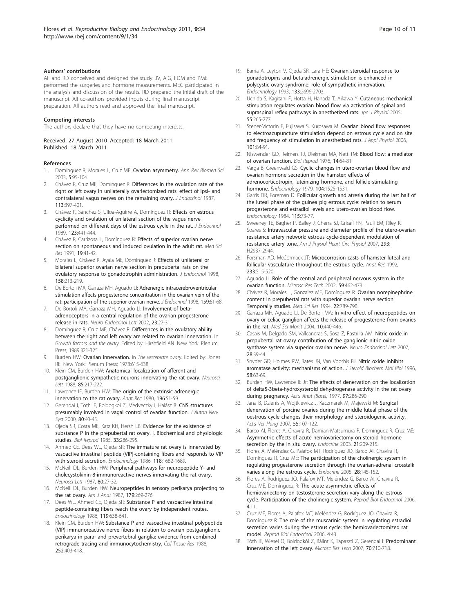### <span id="page-9-0"></span>Authors' contributions

AF and RD conceived and designed the study. JV, AIG, FDM and PME performed the surgeries and hormone measurements. MEC participated in the analysis and discussion of the results. RD prepared the initial draft of the manuscript. All co-authors provided inputs during final manuscript preparation. All authors read and approved the final manuscript.

### Competing interests

The authors declare that they have no competing interests.

### Received: 27 August 2010 Accepted: 18 March 2011 Published: 18 March 2011

### References

- Domínguez R, Morales L, Cruz ME: Ovarian asymmetry. Ann Rev Biomed Sci 2003, 5:95-104.
- 2. Chávez R, Cruz ME, Domínguez R: [Differences in the ovulation rate of the](http://www.ncbi.nlm.nih.gov/pubmed/3625097?dopt=Abstract) [right or left ovary in unilaterally ovariectomized rats: effect of ipsi- and](http://www.ncbi.nlm.nih.gov/pubmed/3625097?dopt=Abstract) [contralateral vagus nerves on the remaining ovary.](http://www.ncbi.nlm.nih.gov/pubmed/3625097?dopt=Abstract) J Endocrinol 1987, 113:397-401.
- Chávez R, Sánchez S, Ulloa-Aguirre A, Domínguez R: [Effects on estrous](http://www.ncbi.nlm.nih.gov/pubmed/2607253?dopt=Abstract) [cyclicity and ovulation of unilateral section of the vagus nerve](http://www.ncbi.nlm.nih.gov/pubmed/2607253?dopt=Abstract) [performed on different days of the estrous cycle in the rat.](http://www.ncbi.nlm.nih.gov/pubmed/2607253?dopt=Abstract) J Endocrinol 1989, 123:441-444.
- 4. Chávez R, Carrizosa L, Domínguez R: Effects of superior ovarian nerve section on spontaneous and induced ovulation in the adult rat. Med Sci Res 1991, 19:41-42.
- Morales L, Chávez R, Ayala ME, Domínguez R: [Effects of unilateral or](http://www.ncbi.nlm.nih.gov/pubmed/9771465?dopt=Abstract) [bilateral superior ovarian nerve section in prepubertal rats on the](http://www.ncbi.nlm.nih.gov/pubmed/9771465?dopt=Abstract) [ovulatory response to gonadotrophin administration.](http://www.ncbi.nlm.nih.gov/pubmed/9771465?dopt=Abstract) J Endocrinol 1998, 158:213-219.
- 6. De Bortoli MA, Garraza MH, Aguado LI: [Adrenergic intracerebroventricular](http://www.ncbi.nlm.nih.gov/pubmed/9795342?dopt=Abstract) [stimulation affects progesterone concentration in the ovarian vein of the](http://www.ncbi.nlm.nih.gov/pubmed/9795342?dopt=Abstract) [rat: participation of the superior ovarian nerve.](http://www.ncbi.nlm.nih.gov/pubmed/9795342?dopt=Abstract) J Endocrinol 1998, 159:61-68.
- 7. De Bortoli MA, Garraza MH, Aguado LI: [Involvement of beta](http://www.ncbi.nlm.nih.gov/pubmed/11880859?dopt=Abstract)[adrenoceptors in a central regulation of the ovarian progesterone](http://www.ncbi.nlm.nih.gov/pubmed/11880859?dopt=Abstract) [release in rats.](http://www.ncbi.nlm.nih.gov/pubmed/11880859?dopt=Abstract) Neuro Endocrinol Lett 2002, 23:27-31.
- 8. Domínguez R, Cruz ME, Chávez R: Differences in the ovulatory ability between the right and left ovary are related to ovarian innervation. In Growth factors and the ovary. Edited by: Hirshfield AN. New York: Plenum Press; 1989:321-325.
- Burden HW: Ovarian innervation. In The vertebrate ovary. Edited by: Jones RE. New York: Plenum Press; 1978:615-638.
- 10. Klein CM, Burden HW: [Anatomical localization of afferent and](http://www.ncbi.nlm.nih.gov/pubmed/3374837?dopt=Abstract) [postganglionic sympathetic neurons innervating the rat ovary.](http://www.ncbi.nlm.nih.gov/pubmed/3374837?dopt=Abstract) Neurosci Lett 1988, 85:217-222.
- 11. Lawrence IE, Burden HW: [The origin of the extrinsic adrenergic](http://www.ncbi.nlm.nih.gov/pubmed/7416501?dopt=Abstract) [innervation to the rat ovary.](http://www.ncbi.nlm.nih.gov/pubmed/7416501?dopt=Abstract) Anat Rec 1980, 196:51-59.
- 12. Gerendai I, Toth IE, Boldogkoi Z, Medveczky I, Halász B: [CNS structures](http://www.ncbi.nlm.nih.gov/pubmed/10742538?dopt=Abstract) [presumably involved in vagal control of ovarian function.](http://www.ncbi.nlm.nih.gov/pubmed/10742538?dopt=Abstract) J Auton Nerv Syst 2000, 80:40-45.
- 13. Ojeda SR, Costa ME, Katz KH, Hersh LB: [Evidence for the existence of](http://www.ncbi.nlm.nih.gov/pubmed/2412598?dopt=Abstract) [substance P in the prepubertal rat ovary. I. Biochemical and physiologic](http://www.ncbi.nlm.nih.gov/pubmed/2412598?dopt=Abstract) [studies.](http://www.ncbi.nlm.nih.gov/pubmed/2412598?dopt=Abstract) Biol Reprod 1985, 33:286-295.
- 14. Ahmed CE, Dees WL, Ojeda SR: [The immature rat ovary is innervated by](http://www.ncbi.nlm.nih.gov/pubmed/3512260?dopt=Abstract) [vasoactive intestinal peptide \(VIP\]-containing fibers and responds to VIP](http://www.ncbi.nlm.nih.gov/pubmed/3512260?dopt=Abstract) [with steroid secretion.](http://www.ncbi.nlm.nih.gov/pubmed/3512260?dopt=Abstract) Endocrinology 1986, 118:1682-1689
- 15. McNeill DL, Burden HW: [Peripheral pathways for neuropeptide Y- and](http://www.ncbi.nlm.nih.gov/pubmed/3658228?dopt=Abstract) [cholecystokinin-8-immunoreactive nerves innervating the rat ovary.](http://www.ncbi.nlm.nih.gov/pubmed/3658228?dopt=Abstract) Neurosci Lett 1987, 80:27-32.
- 16. McNeill DL, Burden HW: [Neuropeptides in sensory perikarya projecting to](http://www.ncbi.nlm.nih.gov/pubmed/2442998?dopt=Abstract) [the rat ovary.](http://www.ncbi.nlm.nih.gov/pubmed/2442998?dopt=Abstract) Am J Anat 1987, 179:269-276.
- 17. Dees WL, Ahmed CE, Ojeda SR: [Substance P and vasoactive intestinal](http://www.ncbi.nlm.nih.gov/pubmed/2426085?dopt=Abstract) [peptide-containing fibers reach the ovary by independent routes.](http://www.ncbi.nlm.nih.gov/pubmed/2426085?dopt=Abstract) Endocrinology 1986, 119:638-641.
- 18. Klein CM, Burden HW: [Substance P and vasoactive intestinal polypeptide](http://www.ncbi.nlm.nih.gov/pubmed/2454745?dopt=Abstract) [\(VIP\) immunoreactive nerve fibers in relation to ovarian postganglionic](http://www.ncbi.nlm.nih.gov/pubmed/2454745?dopt=Abstract) [perikarya in para- and prevertebral ganglia: evidence from combined](http://www.ncbi.nlm.nih.gov/pubmed/2454745?dopt=Abstract) [retrograde tracing and immunocytochemistry.](http://www.ncbi.nlm.nih.gov/pubmed/2454745?dopt=Abstract) Cell Tissue Res 1988, 252:403-418.
- 19. Barria A, Leyton V, Ojeda SR, Lara HE: [Ovarian steroidal response to](http://www.ncbi.nlm.nih.gov/pubmed/8243293?dopt=Abstract) [gonadotropins and beta-adrenergic stimulation is enhanced in](http://www.ncbi.nlm.nih.gov/pubmed/8243293?dopt=Abstract) [polycystic ovary syndrome: role of sympathetic innervation.](http://www.ncbi.nlm.nih.gov/pubmed/8243293?dopt=Abstract) Endocrinology 1993, 133:2696-2703.
- 20. Uchida S, Kagitani F, Hotta H, Hanada T, Aikawa Y: [Cutaneous mechanical](http://www.ncbi.nlm.nih.gov/pubmed/16259648?dopt=Abstract) [stimulation regulates ovarian blood flow via activation of spinal and](http://www.ncbi.nlm.nih.gov/pubmed/16259648?dopt=Abstract) [supraspinal reflex pathways in anesthetized rats.](http://www.ncbi.nlm.nih.gov/pubmed/16259648?dopt=Abstract) Jpn J Physiol 2005, 55:265-277.
- 21. Stener-Victorin E, Fujisawa S, Kurosawa M: [Ovarian blood flow responses](http://www.ncbi.nlm.nih.gov/pubmed/16514000?dopt=Abstract) [to electroacupuncture stimulation depend on estrous cycle and on site](http://www.ncbi.nlm.nih.gov/pubmed/16514000?dopt=Abstract) [and frequency of stimulation in anesthetized rats.](http://www.ncbi.nlm.nih.gov/pubmed/16514000?dopt=Abstract) J Appl Physiol 2006, 101:84-91.
- 22. Niswender GD, Reimers TJ, Diekman MA, Nett TM: [Blood flow: a mediator](http://www.ncbi.nlm.nih.gov/pubmed/769853?dopt=Abstract) [of ovarian function.](http://www.ncbi.nlm.nih.gov/pubmed/769853?dopt=Abstract) Biol Reprod 1976, 14:64-81.
- 23. Varga B, Greenwald GS: [Cyclic changes in utero-ovarian blood flow and](http://www.ncbi.nlm.nih.gov/pubmed/220038?dopt=Abstract) [ovarian hormone secretion in the hamster: effects of](http://www.ncbi.nlm.nih.gov/pubmed/220038?dopt=Abstract) [adrenocorticotropin, luteinizing hormone, and follicle-stimulating](http://www.ncbi.nlm.nih.gov/pubmed/220038?dopt=Abstract) [hormone.](http://www.ncbi.nlm.nih.gov/pubmed/220038?dopt=Abstract) Endocrinology 1979, 104:1525-1531.
- Garris DR, Foreman D: [Follicular growth and atresia during the last half of](http://www.ncbi.nlm.nih.gov/pubmed/6539671?dopt=Abstract) [the luteal phase of the guinea pig estrous cycle: relation to serum](http://www.ncbi.nlm.nih.gov/pubmed/6539671?dopt=Abstract) [progesterone and estradiol levels and utero-ovarian blood flow.](http://www.ncbi.nlm.nih.gov/pubmed/6539671?dopt=Abstract) Endocrinology 1984, 115:73-77.
- 25. Sweeney TE, Bagher P, Bailey J, Cherra SJ, Grisafi FN, Pauli EM, Riley K, Soares S: [Intravascular pressure and diameter profile of the utero-ovarian](http://www.ncbi.nlm.nih.gov/pubmed/17704285?dopt=Abstract) [resistance artery network: estrous cycle-dependent modulation of](http://www.ncbi.nlm.nih.gov/pubmed/17704285?dopt=Abstract) [resistance artery tone.](http://www.ncbi.nlm.nih.gov/pubmed/17704285?dopt=Abstract) Am J Physiol Heart Circ Physiol 2007, 293: H2937-2944.
- 26. Forsman AD, McCormack JT: [Microcorrosion casts of hamster luteal and](http://www.ncbi.nlm.nih.gov/pubmed/1378246?dopt=Abstract) [follicular vasculature throughout the estrous cycle.](http://www.ncbi.nlm.nih.gov/pubmed/1378246?dopt=Abstract) Anat Rec 1992, 233:515-520.
- 27. Aguado LI: [Role of the central and peripheral nervous system in the](http://www.ncbi.nlm.nih.gov/pubmed/12467021?dopt=Abstract) [ovarian function.](http://www.ncbi.nlm.nih.gov/pubmed/12467021?dopt=Abstract) Microsc Res Tech 2002, 59:462-473.
- 28. Chávez R, Morales L, Gonzalez ME, Domínguez R: Ovarian norepinephrine content in prepubertal rats with superior ovarian nerve section. Temporally studies. Med Sci Res 1994, 22:789-790.
- 29. Garraza MH, Aguado LI, De Bortoli MA: In vitro effect of neuropeptides on ovary or celiac ganglion affects the release of progesterone from ovaries in the rat. Med Sci Monit 2004, 10:440-446.
- 30. Casais M, Delgado SM, Vallcaneras S, Sosa Z, Rastrilla AM: [Nitric oxide in](http://www.ncbi.nlm.nih.gov/pubmed/17277728?dopt=Abstract) [prepubertal rat ovary contribution of the ganglionic nitric oxide](http://www.ncbi.nlm.nih.gov/pubmed/17277728?dopt=Abstract) [synthase system via superior ovarian nerve.](http://www.ncbi.nlm.nih.gov/pubmed/17277728?dopt=Abstract) Neuro Endocrinol Lett 2007, 28:39-44.
- 31. Snyder GD, Holmes RW, Bates JN, Van Voorhis BJ: [Nitric oxide inhibits](http://www.ncbi.nlm.nih.gov/pubmed/8809186?dopt=Abstract) [aromatase activity: mechanisms of action.](http://www.ncbi.nlm.nih.gov/pubmed/8809186?dopt=Abstract) J Steroid Biochem Mol Biol 1996, 58:63-69.
- 32. Burden HW, Lawrence IE Jr: [The effects of denervation on the localization](http://www.ncbi.nlm.nih.gov/pubmed/558706?dopt=Abstract) [of delta5-3beta-hydroxysteroid dehydrogenase activity in the rat ovary](http://www.ncbi.nlm.nih.gov/pubmed/558706?dopt=Abstract) [during pregnancy.](http://www.ncbi.nlm.nih.gov/pubmed/558706?dopt=Abstract) Acta Anat (Basel) 1977, 97:286-290.
- 33. Jana B, Dzienis A, Wojtkiewicz J, Kaczmarek M, Majewski M: [Surgical](http://www.ncbi.nlm.nih.gov/pubmed/17385561?dopt=Abstract) [denervation of porcine ovaries during the middle luteal phase of the](http://www.ncbi.nlm.nih.gov/pubmed/17385561?dopt=Abstract) [oestrous cycle changes their morphology and steroidogenic activity.](http://www.ncbi.nlm.nih.gov/pubmed/17385561?dopt=Abstract) Acta Vet Hung 2007, 55:107-122.
- 34. Barco AI, Flores A, Chavira R, Damian-Matsumura P, Domínguez R, Cruz ME: [Asymmetric effects of acute hemiovariectomy on steroid hormone](http://www.ncbi.nlm.nih.gov/pubmed/14515003?dopt=Abstract) [secretion by the in situ ovary.](http://www.ncbi.nlm.nih.gov/pubmed/14515003?dopt=Abstract) Endocrine 2003, 21:209-215.
- 35. Flores A, Meléndez G, Palafox MT, Rodríguez JO, Barco AI, Chavira R, Domínguez R, Cruz ME: [The participation of the cholinergic system in](http://www.ncbi.nlm.nih.gov/pubmed/16388086?dopt=Abstract) [regulating progesterone secretion through the ovarian-adrenal crosstalk](http://www.ncbi.nlm.nih.gov/pubmed/16388086?dopt=Abstract) [varies along the estrous cycle.](http://www.ncbi.nlm.nih.gov/pubmed/16388086?dopt=Abstract) Endocrine 2005, 28:145-152.
- 36. Flores A, Rodríguez JO, Palafox MT, Meléndez G, Barco AI, Chavira R, Cruz ME, Domínguez R: [The acute asymmetric effects of](http://www.ncbi.nlm.nih.gov/pubmed/16509991?dopt=Abstract) [hemiovariectomy on testosterone secretion vary along the estrous](http://www.ncbi.nlm.nih.gov/pubmed/16509991?dopt=Abstract) [cycle. Participation of the cholinergic system.](http://www.ncbi.nlm.nih.gov/pubmed/16509991?dopt=Abstract) Reprod Biol Endocrinol 2006, 4:11.
- 37. Cruz ME, Flores A, Palafox MT, Meléndez G, Rodríguez JO, Chavira R, Domínguez R: [The role of the muscarinic system in regulating estradiol](http://www.ncbi.nlm.nih.gov/pubmed/16923184?dopt=Abstract) [secretion varies during the estrous cycle: the hemiovariectomized rat](http://www.ncbi.nlm.nih.gov/pubmed/16923184?dopt=Abstract) [model.](http://www.ncbi.nlm.nih.gov/pubmed/16923184?dopt=Abstract) Reprod Biol Endocrinol 2006, 4:43.
- 38. Tóth IE, Wiesel O, Boldogkói Z, Bálint K, Tapaszti Z, Gerendai I: [Predominant](http://www.ncbi.nlm.nih.gov/pubmed/17393475?dopt=Abstract) [innervation of the left ovary.](http://www.ncbi.nlm.nih.gov/pubmed/17393475?dopt=Abstract) Microsc Res Tech 2007, 70:710-718.